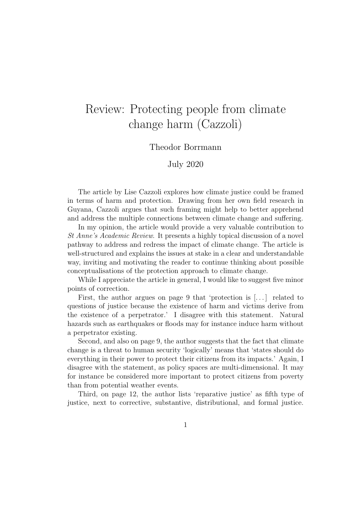## Review: Protecting people from climate change harm (Cazzoli)

## Theodor Borrmann

July 2020

The article by Lise Cazzoli explores how climate justice could be framed in terms of harm and protection. Drawing from her own field research in Guyana, Cazzoli argues that such framing might help to better apprehend and address the multiple connections between climate change and suffering.

In my opinion, the article would provide a very valuable contribution to St Anne's Academic Review. It presents a highly topical discussion of a novel pathway to address and redress the impact of climate change. The article is well-structured and explains the issues at stake in a clear and understandable way, inviting and motivating the reader to continue thinking about possible conceptualisations of the protection approach to climate change.

While I appreciate the article in general, I would like to suggest five minor points of correction.

First, the author argues on page 9 that 'protection is  $[\,\ldots\,]$  related to questions of justice because the existence of harm and victims derive from the existence of a perpetrator.' I disagree with this statement. Natural hazards such as earthquakes or floods may for instance induce harm without a perpetrator existing.

Second, and also on page 9, the author suggests that the fact that climate change is a threat to human security 'logically' means that 'states should do everything in their power to protect their citizens from its impacts.' Again, I disagree with the statement, as policy spaces are multi-dimensional. It may for instance be considered more important to protect citizens from poverty than from potential weather events.

Third, on page 12, the author lists 'reparative justice' as fifth type of justice, next to corrective, substantive, distributional, and formal justice.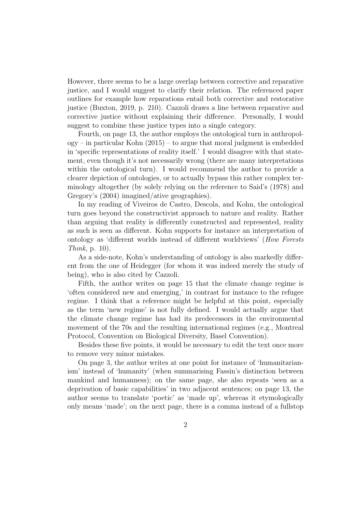However, there seems to be a large overlap between corrective and reparative justice, and I would suggest to clarify their relation. The referenced paper outlines for example how reparations entail both corrective and restorative justice (Buxton, 2019, p. 210). Cazzoli draws a line between reparative and corrective justice without explaining their difference. Personally, I would suggest to combine these justice types into a single category.

Fourth, on page 13, the author employs the ontological turn in anthropol- $\log y$  – in particular Kohn (2015) – to argue that moral judgment is embedded in 'specific representations of reality itself.' I would disagree with that statement, even though it's not necessarily wrong (there are many interpretations within the ontological turn). I would recommend the author to provide a clearer depiction of ontologies, or to actually bypass this rather complex terminology altogether (by solely relying on the reference to Said's (1978) and Gregory's (2004) imagined/ative geographies).

In my reading of Viveiros de Castro, Descola, and Kohn, the ontological turn goes beyond the constructivist approach to nature and reality. Rather than arguing that reality is differently constructed and represented, reality as such is seen as different. Kohn supports for instance an interpretation of ontology as 'different worlds instead of different worldviews' (How Forests Think, p. 10).

As a side-note, Kohn's understanding of ontology is also markedly different from the one of Heidegger (for whom it was indeed merely the study of being), who is also cited by Cazzoli.

Fifth, the author writes on page 15 that the climate change regime is 'often considered new and emerging,' in contrast for instance to the refugee regime. I think that a reference might be helpful at this point, especially as the term 'new regime' is not fully defined. I would actually argue that the climate change regime has had its predecessors in the environmental movement of the 70s and the resulting international regimes (e.g., Montreal Protocol, Convention on Biological Diversity, Basel Convention).

Besides these five points, it would be necessary to edit the text once more to remove very minor mistakes.

On page 3, the author writes at one point for instance of 'humanitarianism' instead of 'humanity' (when summarising Fassin's distinction between mankind and humanness); on the same page, she also repeats 'seen as a deprivation of basic capabilities' in two adjacent sentences; on page 13, the author seems to translate 'poetic' as 'made up', whereas it etymologically only means 'made'; on the next page, there is a comma instead of a fullstop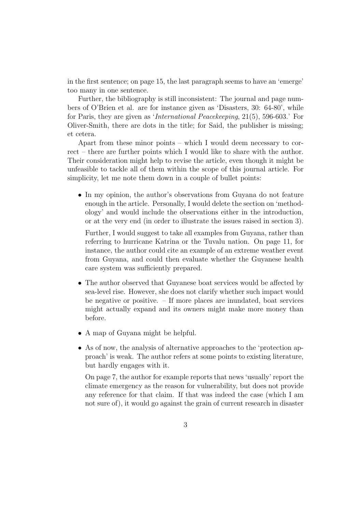in the first sentence; on page 15, the last paragraph seems to have an 'emerge' too many in one sentence.

Further, the bibliography is still inconsistent: The journal and page numbers of O'Brien et al. are for instance given as 'Disasters, 30: 64-80', while for Paris, they are given as 'International Peacekeeping, 21(5), 596-603.' For Oliver-Smith, there are dots in the title; for Said, the publisher is missing; et cetera.

Apart from these minor points – which I would deem necessary to correct – there are further points which I would like to share with the author. Their consideration might help to revise the article, even though it might be unfeasible to tackle all of them within the scope of this journal article. For simplicity, let me note them down in a couple of bullet points:

• In my opinion, the author's observations from Guyana do not feature enough in the article. Personally, I would delete the section on 'methodology' and would include the observations either in the introduction, or at the very end (in order to illustrate the issues raised in section 3).

Further, I would suggest to take all examples from Guyana, rather than referring to hurricane Katrina or the Tuvalu nation. On page 11, for instance, the author could cite an example of an extreme weather event from Guyana, and could then evaluate whether the Guyanese health care system was sufficiently prepared.

- The author observed that Guyanese boat services would be affected by sea-level rise. However, she does not clarify whether such impact would be negative or positive. – If more places are inundated, boat services might actually expand and its owners might make more money than before.
- A map of Guyana might be helpful.
- As of now, the analysis of alternative approaches to the 'protection approach' is weak. The author refers at some points to existing literature, but hardly engages with it.

On page 7, the author for example reports that news 'usually' report the climate emergency as the reason for vulnerability, but does not provide any reference for that claim. If that was indeed the case (which I am not sure of), it would go against the grain of current research in disaster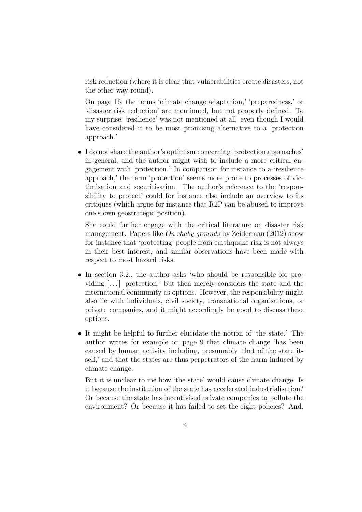risk reduction (where it is clear that vulnerabilities create disasters, not the other way round).

On page 16, the terms 'climate change adaptation,' 'preparedness,' or 'disaster risk reduction' are mentioned, but not properly defined. To my surprise, 'resilience' was not mentioned at all, even though I would have considered it to be most promising alternative to a 'protection approach.'

• I do not share the author's optimism concerning 'protection approaches' in general, and the author might wish to include a more critical engagement with 'protection.' In comparison for instance to a 'resilience approach,' the term 'protection' seems more prone to processes of victimisation and securitisation. The author's reference to the 'responsibility to protect' could for instance also include an overview to its critiques (which argue for instance that R2P can be abused to improve one's own geostrategic position).

She could further engage with the critical literature on disaster risk management. Papers like On shaky grounds by Zeiderman (2012) show for instance that 'protecting' people from earthquake risk is not always in their best interest, and similar observations have been made with respect to most hazard risks.

- In section 3.2., the author asks 'who should be responsible for providing  $\left[\ldots\right]$  protection,' but then merely considers the state and the international community as options. However, the responsibility might also lie with individuals, civil society, transnational organisations, or private companies, and it might accordingly be good to discuss these options.
- It might be helpful to further elucidate the notion of 'the state.' The author writes for example on page 9 that climate change 'has been caused by human activity including, presumably, that of the state itself,' and that the states are thus perpetrators of the harm induced by climate change.

But it is unclear to me how 'the state' would cause climate change. Is it because the institution of the state has accelerated industrialisation? Or because the state has incentivised private companies to pollute the environment? Or because it has failed to set the right policies? And,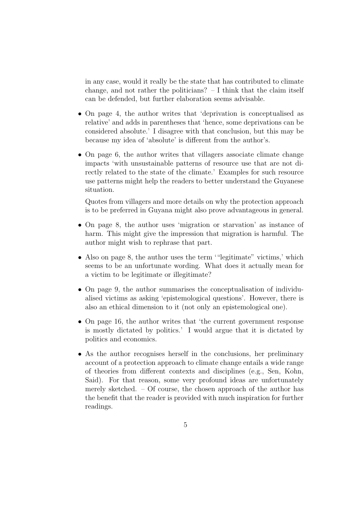in any case, would it really be the state that has contributed to climate change, and not rather the politicians?  $- I$  think that the claim itself can be defended, but further elaboration seems advisable.

- On page 4, the author writes that 'deprivation is conceptualised as relative' and adds in parentheses that 'hence, some deprivations can be considered absolute.' I disagree with that conclusion, but this may be because my idea of 'absolute' is different from the author's.
- On page 6, the author writes that villagers associate climate change impacts 'with unsustainable patterns of resource use that are not directly related to the state of the climate.' Examples for such resource use patterns might help the readers to better understand the Guyanese situation.

Quotes from villagers and more details on why the protection approach is to be preferred in Guyana might also prove advantageous in general.

- On page 8, the author uses 'migration or starvation' as instance of harm. This might give the impression that migration is harmful. The author might wish to rephrase that part.
- Also on page 8, the author uses the term ""legitimate" victims,' which seems to be an unfortunate wording. What does it actually mean for a victim to be legitimate or illegitimate?
- On page 9, the author summarises the conceptualisation of individualised victims as asking 'epistemological questions'. However, there is also an ethical dimension to it (not only an epistemological one).
- On page 16, the author writes that 'the current government response is mostly dictated by politics.' I would argue that it is dictated by politics and economics.
- As the author recognises herself in the conclusions, her preliminary account of a protection approach to climate change entails a wide range of theories from different contexts and disciplines (e.g., Sen, Kohn, Said). For that reason, some very profound ideas are unfortunately merely sketched. – Of course, the chosen approach of the author has the benefit that the reader is provided with much inspiration for further readings.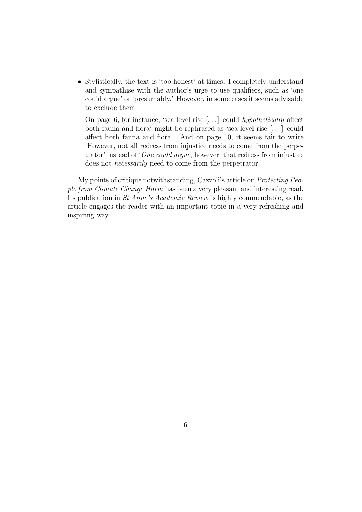• Stylistically, the text is 'too honest' at times. I completely understand and sympathise with the author's urge to use qualifiers, such as 'one could argue' or 'presumably.' However, in some cases it seems advisable to exclude them.

On page 6, for instance, 'sea-level rise  $[\dots]$  could hypothetically affect both fauna and flora' might be rephrased as 'sea-level rise [. . . ] could affect both fauna and flora'. And on page 10, it seems fair to write 'However, not all redress from injustice needs to come from the perpetrator' instead of 'One could argue, however, that redress from injustice does not *necessarily* need to come from the perpetrator.'

My points of critique notwithstanding, Cazzoli's article on Protecting People from Climate Change Harm has been a very pleasant and interesting read. Its publication in St Anne's Academic Review is highly commendable, as the article engages the reader with an important topic in a very refreshing and inspiring way.